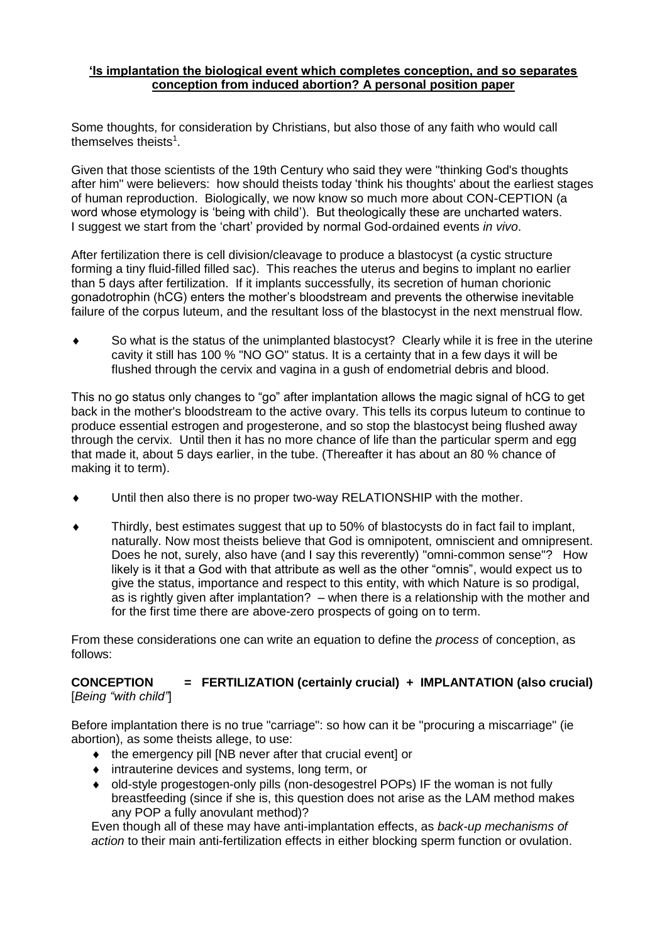## **'Is implantation the biological event which completes conception, and so separates conception from induced abortion? A personal position paper**

Some thoughts, for consideration by Christians, but also those of any faith who would call themselves theists<sup>1</sup>.

Given that those scientists of the 19th Century who said they were "thinking God's thoughts after him" were believers: how should theists today 'think his thoughts' about the earliest stages of human reproduction. Biologically, we now know so much more about CON-CEPTION (a word whose etymology is 'being with child'). But theologically these are uncharted waters. I suggest we start from the 'chart' provided by normal God-ordained events *in vivo*.

After fertilization there is cell division/cleavage to produce a blastocyst (a cystic structure forming a tiny fluid-filled filled sac). This reaches the uterus and begins to implant no earlier than 5 days after fertilization. If it implants successfully, its secretion of human chorionic gonadotrophin (hCG) enters the mother's bloodstream and prevents the otherwise inevitable failure of the corpus luteum, and the resultant loss of the blastocyst in the next menstrual flow.

 So what is the status of the unimplanted blastocyst? Clearly while it is free in the uterine cavity it still has 100 % "NO GO" status. It is a certainty that in a few days it will be flushed through the cervix and vagina in a gush of endometrial debris and blood.

This no go status only changes to "go" after implantation allows the magic signal of hCG to get back in the mother's bloodstream to the active ovary. This tells its corpus luteum to continue to produce essential estrogen and progesterone, and so stop the blastocyst being flushed away through the cervix. Until then it has no more chance of life than the particular sperm and egg that made it, about 5 days earlier, in the tube. (Thereafter it has about an 80 % chance of making it to term).

- Until then also there is no proper two-way RELATIONSHIP with the mother.
- Thirdly, best estimates suggest that up to 50% of blastocysts do in fact fail to implant, naturally. Now most theists believe that God is omnipotent, omniscient and omnipresent. Does he not, surely, also have (and I say this reverently) "omni-common sense"? How likely is it that a God with that attribute as well as the other "omnis", would expect us to give the status, importance and respect to this entity, with which Nature is so prodigal, as is rightly given after implantation? – when there is a relationship with the mother and for the first time there are above-zero prospects of going on to term.

From these considerations one can write an equation to define the *process* of conception, as follows:

## **CONCEPTION = FERTILIZATION (certainly crucial) + IMPLANTATION (also crucial)** [*Being "with child"*]

Before implantation there is no true "carriage": so how can it be "procuring a miscarriage" (ie abortion), as some theists allege, to use:

- the emergency pill [NB never after that crucial event] or
- intrauterine devices and systems, long term, or
- old-style progestogen-only pills (non-desogestrel POPs) IF the woman is not fully breastfeeding (since if she is, this question does not arise as the LAM method makes any POP a fully anovulant method)?

Even though all of these may have anti-implantation effects, as *back-up mechanisms of action* to their main anti-fertilization effects in either blocking sperm function or ovulation.